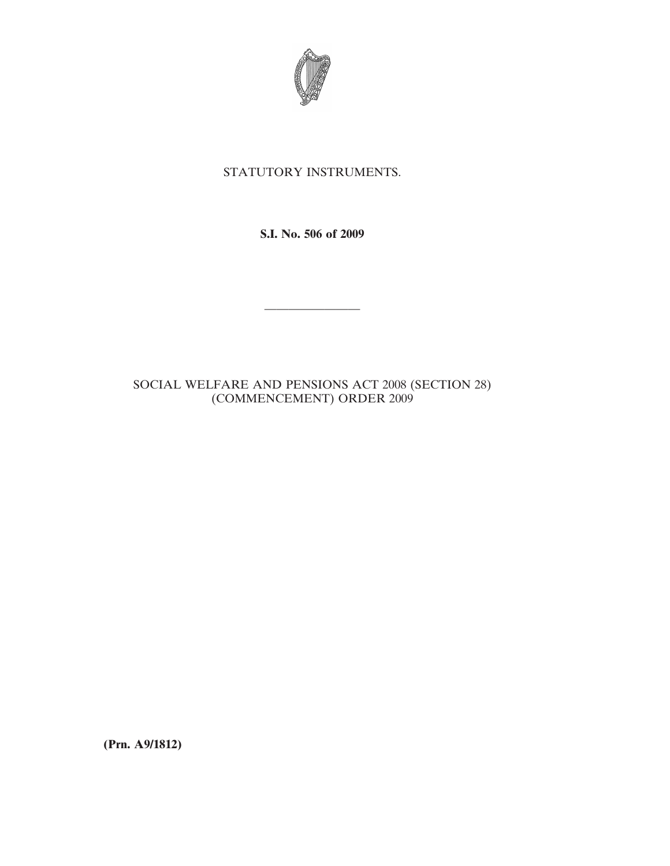

## STATUTORY INSTRUMENTS.

**S.I. No. 506 of 2009**

————————

## SOCIAL WELFARE AND PENSIONS ACT 2008 (SECTION 28) (COMMENCEMENT) ORDER 2009

**(Prn. A9/1812)**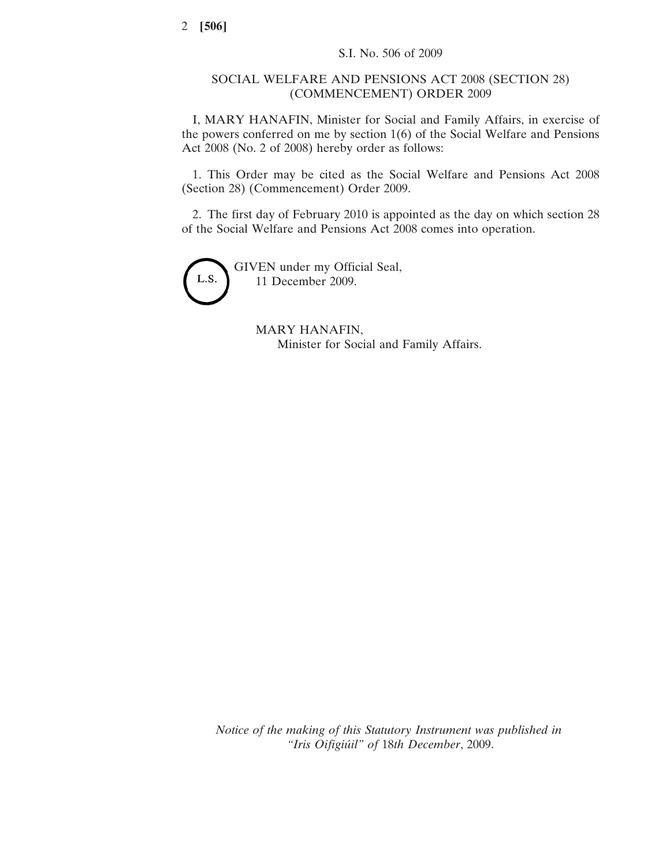## SOCIAL WELFARE AND PENSIONS ACT 2008 (SECTION 28) (COMMENCEMENT) ORDER 2009

I, MARY HANAFIN, Minister for Social and Family Affairs, in exercise of the powers conferred on me by section 1(6) of the Social Welfare and Pensions Act 2008 (No. 2 of 2008) hereby order as follows:

1. This Order may be cited as the Social Welfare and Pensions Act 2008 (Section 28) (Commencement) Order 2009.

2. The first day of February 2010 is appointed as the day on which section 28 of the Social Welfare and Pensions Act 2008 comes into operation.



GIVEN under my Official Seal, 11 December 2009.

> MARY HANAFIN, Minister for Social and Family Affairs.

*Notice of the making of this Statutory Instrument was published in "Iris Oifigiúil" of* 18*th December*, 2009.